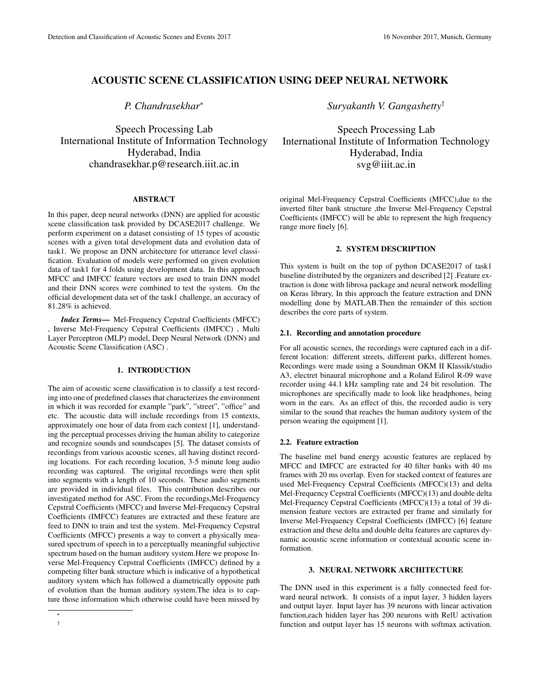# ACOUSTIC SCENE CLASSIFICATION USING DEEP NEURAL NETWORK

*P. Chandrasekhar*<sup>∗</sup>

Speech Processing Lab International Institute of Information Technology Hyderabad, India chandrasekhar.p@research.iiit.ac.in

## ABSTRACT

In this paper, deep neural networks (DNN) are applied for acoustic scene classification task provided by DCASE2017 challenge. We perform experiment on a dataset consisting of 15 types of acoustic scenes with a given total development data and evolution data of task1. We propose an DNN architecture for utterance level classification. Evaluation of models were performed on given evolution data of task1 for 4 folds using development data. In this approach MFCC and IMFCC feature vectors are used to train DNN model and their DNN scores were combined to test the system. On the official development data set of the task1 challenge, an accuracy of 81.28% is achieved.

*Index Terms*— Mel-Frequency Cepstral Coefficients (MFCC) , Inverse Mel-Frequency Cepstral Coefficients (IMFCC) , Multi Layer Perceptron (MLP) model, Deep Neural Network (DNN) and Acoustic Scene Classification (ASC) .

### 1. INTRODUCTION

The aim of acoustic scene classification is to classify a test recording into one of predefined classes that characterizes the environment in which it was recorded for example "park", "street", "office" and etc. The acoustic data will include recordings from 15 contexts, approximately one hour of data from each context [1], understanding the perceptual processes driving the human ability to categorize and recognize sounds and soundscapes [5]. The dataset consists of recordings from various acoustic scenes, all having distinct recording locations. For each recording location, 3-5 minute long audio recording was captured. The original recordings were then split into segments with a length of 10 seconds. These audio segments are provided in individual files. This contribution describes our investigated method for ASC. From the recordings,Mel-Frequency Cepstral Coefficients (MFCC) and Inverse Mel-Frequency Cepstral Coefficients (IMFCC) features are extracted and these feature are feed to DNN to train and test the system. Mel-Frequency Cepstral Coefficients (MFCC) presents a way to convert a physically measured spectrum of speech in to a perceptually meaningful subjective spectrum based on the human auditory system.Here we propose Inverse Mel-Frequency Cepstral Coefficients (IMFCC) defined by a competing filter bank structure which is indicative of a hypothetical auditory system which has followed a diametrically opposite path of evolution than the human auditory system.The idea is to capture those information which otherwise could have been missed by

*Suryakanth V. Gangashetty*†

Speech Processing Lab International Institute of Information Technology Hyderabad, India svg@iiit.ac.in

original Mel-Frequency Cepstral Coefficients (MFCC),due to the inverted filter bank structure ,the Inverse Mel-Frequency Cepstral Coefficients (IMFCC) will be able to represent the high frequency range more finely [6].

## 2. SYSTEM DESCRIPTION

This system is built on the top of python DCASE2017 of task1 baseline distributed by the organizers and described [2] .Feature extraction is done with librosa package and neural network modelling on Keras library, In this approach the feature extraction and DNN modelling done by MATLAB.Then the remainder of this section describes the core parts of system.

#### 2.1. Recording and annotation procedure

For all acoustic scenes, the recordings were captured each in a different location: different streets, different parks, different homes. Recordings were made using a Soundman OKM II Klassik/studio A3, electret binaural microphone and a Roland Edirol R-09 wave recorder using 44.1 kHz sampling rate and 24 bit resolution. The microphones are specifically made to look like headphones, being worn in the ears. As an effect of this, the recorded audio is very similar to the sound that reaches the human auditory system of the person wearing the equipment [1].

# 2.2. Feature extraction

The baseline mel band energy acoustic features are replaced by MFCC and IMFCC are extracted for 40 filter banks with 40 ms frames with 20 ms overlap. Even for stacked context of features are used Mel-Frequency Cepstral Coefficients (MFCC)(13) and delta Mel-Frequency Cepstral Coefficients (MFCC)(13) and double delta Mel-Frequency Cepstral Coefficients (MFCC)(13) a total of 39 dimension feature vectors are extracted per frame and similarly for Inverse Mel-Frequency Cepstral Coefficients (IMFCC) [6] feature extraction and these delta and double delta features are captures dynamic acoustic scene information or contextual acoustic scene information.

#### 3. NEURAL NETWORK ARCHITECTURE

The DNN used in this experiment is a fully connected feed forward neural network. It consists of a input layer, 3 hidden layers and output layer. Input layer has 39 neurons with linear activation function,each hidden layer has 200 neurons with RelU activation function and output layer has 15 neurons with softmax activation.

<sup>∗</sup> †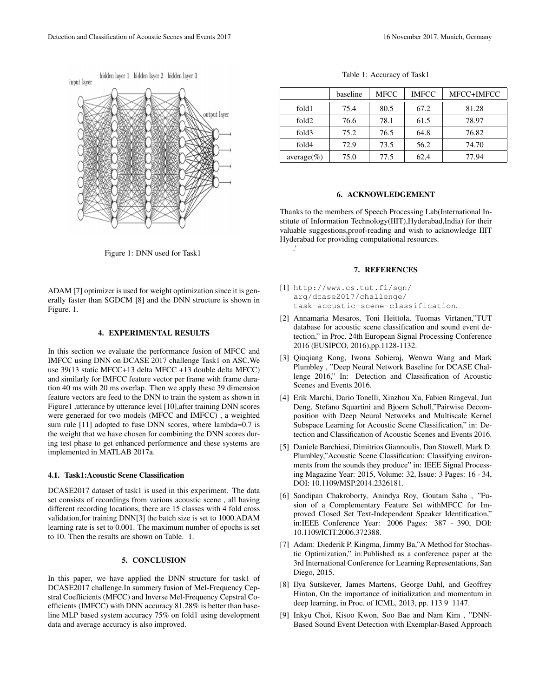

Figure 1: DNN used for Task1

ADAM [7] optimizer is used for weight optimization since it is generally faster than SGDCM [8] and the DNN structure is shown in Figure. 1.

#### 4. EXPERIMENTAL RESULTS

In this section we evaluate the performance fusion of MFCC and IMFCC using DNN on DCASE 2017 challenge Task1 on ASC.We use 39(13 static MFCC+13 delta MFCC +13 double delta MFCC) and similarly for IMFCC feature vector per frame with frame duration 40 ms with 20 ms overlap. Then we apply these 39 dimension feature vectors are feed to the DNN to train the system as shown in Figure1 ,utterance by utterance level [10], after training DNN scores were generaed for two models (MFCC and IMFCC) , a weighted sum rule [11] adopted to fuse DNN scores, where lambda=0.7 is the weight that we have chosen for combining the DNN scores during test phase to get enhanced performence and these systems are implemented in MATLAB 2017a.

#### 4.1. Task1:Acoustic Scene Classification

DCASE2017 dataset of task1 is used in this experiment. The data set consists of recordings from various acoustic scene , all having different recording locations, there are 15 classes with 4 fold cross validation,for training DNN[3] the batch size is set to 1000.ADAM learning rate is set to 0.001. The maximum number of epochs is set to 10. Then the results are shown on Table. 1.

# 5. CONCLUSION

In this paper, we have applied the DNN structure for task1 of DCASE2017 challenge.In summery fusion of Mel-Frequency Cepstral Coefficients (MFCC) and Inverse Mel-Frequency Cepstral Coefficients (IMFCC) with DNN accuracy 81.28% is better than baseline MLP based system accuracy 75% on fold1 using development data and average accuracy is also improved.

Table 1: Accuracy of Task1

|                   | baseline | <b>MFCC</b> | <b>IMFCC</b> | MFCC+IMFCC |
|-------------------|----------|-------------|--------------|------------|
| fold1             | 75.4     | 80.5        | 67.2         | 81.28      |
| fold <sub>2</sub> | 76.6     | 78.1        | 61.5         | 78.97      |
| fold3             | 75.2     | 76.5        | 64.8         | 76.82      |
| fold4             | 72.9     | 73.5        | 56.2         | 74.70      |
| $average(\%)$     | 75.0     | 77.5        | 62,4         | 77.94      |

#### 6. ACKNOWLEDGEMENT

Thanks to the members of Speech Processing Lab(International Institute of Information Technology(IIIT),Hyderabad,India) for their valuable suggestions,proof-reading and wish to acknowledge IIIT Hyderabad for providing computational resources. .'

#### 7. REFERENCES

- [1] http://www.cs.tut.fi/sgn/ arg/dcase2017/challenge/ task-acoustic-scene-classification.
- [2] Annamaria Mesaros, Toni Heittola, Tuomas Virtanen,"TUT database for acoustic scene classification and sound event detection," in Proc. 24th European Signal Processing Conference 2016 (EUSIPCO, 2016),pp.1128-1132.
- [3] Qiuqiang Kong, Iwona Sobieraj, Wenwu Wang and Mark Plumbley , "Deep Neural Network Baseline for DCASE Challenge 2016," In: Detection and Classification of Acoustic Scenes and Events 2016.
- [4] Erik Marchi, Dario Tonelli, Xinzhou Xu, Fabien Ringeval, Jun Deng, Stefano Squartini and Bjoern Schull,"Pairwise Decomposition with Deep Neural Networks and Multiscale Kernel Subspace Learning for Acoustic Scene Classification," in: Detection and Classification of Acoustic Scenes and Events 2016.
- [5] Daniele Barchiesi, Dimitrios Giannoulis, Dan Stowell, Mark D. Plumbley,"Acoustic Scene Classification: Classifying environments from the sounds they produce" in: IEEE Signal Processing Magazine Year: 2015, Volume: 32, Issue: 3 Pages: 16 - 34, DOI: 10.1109/MSP.2014.2326181.
- [6] Sandipan Chakroborty, Anindya Roy, Goutam Saha , "Fusion of a Complementary Feature Set withMFCC for Improved Closed Set Text-Independent Speaker Identification," in:IEEE Conference Year: 2006 Pages: 387 - 390, DOI: 10.1109/ICIT.2006.372388.
- [7] Adam: Diederik P. Kingma, Jimmy Ba,"A Method for Stochastic Optimization," in:Published as a conference paper at the 3rd International Conference for Learning Representations, San Diego, 2015.
- [8] Ilya Sutskever, James Martens, George Dahl, and Geoffrey Hinton, On the importance of initialization and momentum in deep learning, in Proc. of ICML, 2013, pp. 113 9 1147.
- [9] Inkyu Choi, Kisoo Kwon, Soo Bae and Nam Kim , "DNN-Based Sound Event Detection with Exemplar-Based Approach